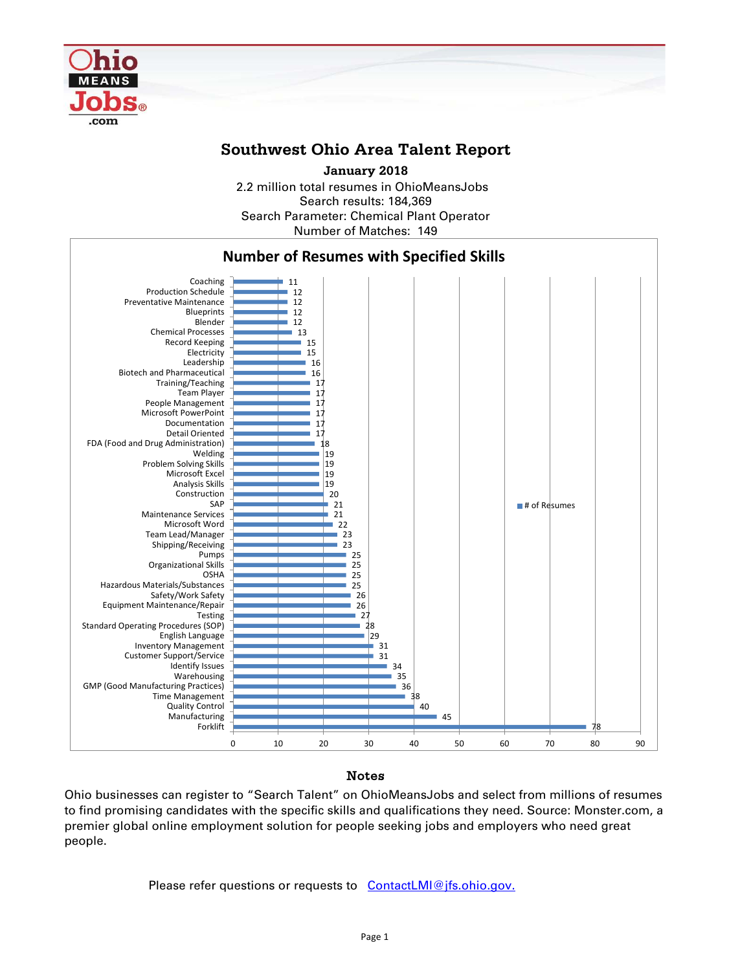

## **Southwest Ohio Area Talent Report**

2.2 million total resumes in OhioMeansJobs Search results: 184,369 Number of Matches: 149 Search Parameter: Chemical Plant Operator **January 2018**



### Notes

Ohio businesses can register to "Search Talent" on OhioMeansJobs and select from millions of resumes to find promising candidates with the specific skills and qualifications they need. Source: Monster.com, a premier global online employment solution for people seeking jobs and employers who need great people.

Please refer questions or requests to [ContactLMI@jfs.ohio.gov.](mailto:ContactLMI@jfs.ohio.gov.)